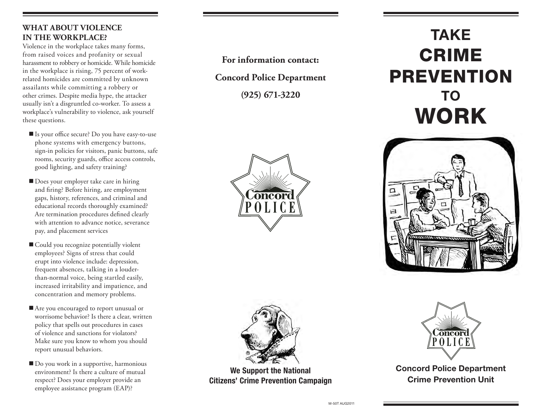## **WHAT ABOUT VIOLENCE IN THE WORKPLACE?**

Violence in the workplace takes many forms, from raised voices and profanity or sexual harassment to robbery or homicide. While homicide in the workplace is rising, 75 percent of workrelated homicides are committed by unknown assailants while committing a robbery or other crimes. Despite media hype, the attacker usually isn't a disgruntled co-worker. To assess a workplace's vulnerability to violence, ask yourself these questions.

- Is your office secure? Do you have easy-to-use phone systems with emergency buttons, sign-in policies for visitors, panic buttons, safe rooms, security guards, office access controls, good lighting, and safety training?
- Does your employer take care in hiring and firing? Before hiring, are employment gaps, history, references, and criminal and educational records thoroughly examined? Are termination procedures defined clearly with attention to advance notice, severance pay, and placement services
- Could you recognize potentially violent employees? Signs of stress that could erupt into violence include: depression, frequent absences, talking in a louderthan-normal voice, being startled easily, increased irritability and impatience, and concentration and memory problems.
- Are you encouraged to report unusual or worrisome behavior? Is there a clear, written policy that spells out procedures in cases of violence and sanctions for violators? Make sure you know to whom you should report unusual behaviors.
- Do you work in a supportive, harmonious environment? Is there a culture of mutual respect? Does your employer provide an employee assistance program (EAP)?

**For information contact:**

**Concord Police Department**

**(925) 671-3220**









We Support the National Citizens' Crime Prevention Campaign



Concord Police Department Crime Prevention Unit